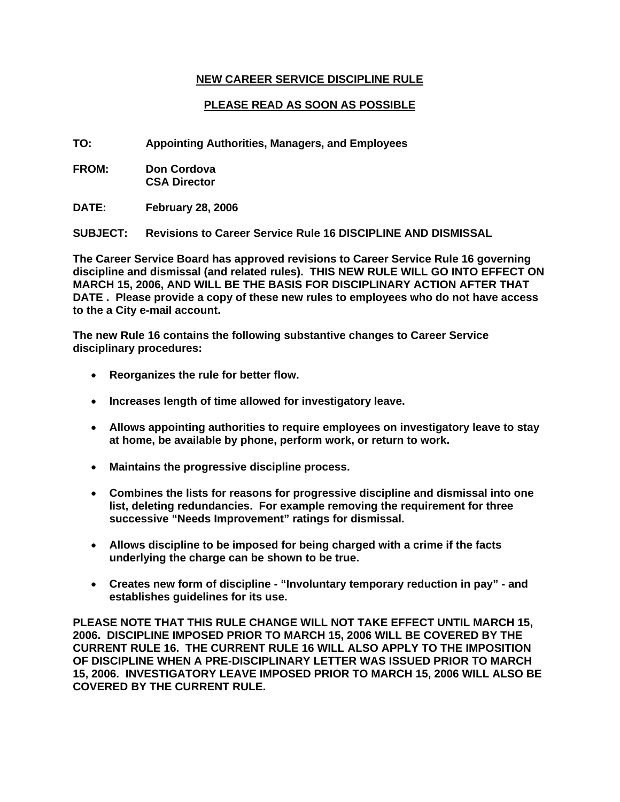## **NEW CAREER SERVICE DISCIPLINE RULE**

# **PLEASE READ AS SOON AS POSSIBLE**

**TO: Appointing Authorities, Managers, and Employees** 

**FROM: Don Cordova CSA Director** 

**DATE: February 28, 2006** 

**SUBJECT: Revisions to Career Service Rule 16 DISCIPLINE AND DISMISSAL** 

**The Career Service Board has approved revisions to Career Service Rule 16 governing discipline and dismissal (and related rules). THIS NEW RULE WILL GO INTO EFFECT ON MARCH 15, 2006, AND WILL BE THE BASIS FOR DISCIPLINARY ACTION AFTER THAT DATE . Please provide a copy of these new rules to employees who do not have access to the a City e-mail account.** 

**The new Rule 16 contains the following substantive changes to Career Service disciplinary procedures:** 

- **Reorganizes the rule for better flow.**
- **Increases length of time allowed for investigatory leave.**
- **Allows appointing authorities to require employees on investigatory leave to stay at home, be available by phone, perform work, or return to work.**
- **Maintains the progressive discipline process.**
- **Combines the lists for reasons for progressive discipline and dismissal into one list, deleting redundancies. For example removing the requirement for three successive "Needs Improvement" ratings for dismissal.**
- **Allows discipline to be imposed for being charged with a crime if the facts underlying the charge can be shown to be true.**
- **Creates new form of discipline "Involuntary temporary reduction in pay" and establishes guidelines for its use.**

**PLEASE NOTE THAT THIS RULE CHANGE WILL NOT TAKE EFFECT UNTIL MARCH 15, 2006. DISCIPLINE IMPOSED PRIOR TO MARCH 15, 2006 WILL BE COVERED BY THE CURRENT RULE 16. THE CURRENT RULE 16 WILL ALSO APPLY TO THE IMPOSITION OF DISCIPLINE WHEN A PRE-DISCIPLINARY LETTER WAS ISSUED PRIOR TO MARCH 15, 2006. INVESTIGATORY LEAVE IMPOSED PRIOR TO MARCH 15, 2006 WILL ALSO BE COVERED BY THE CURRENT RULE.**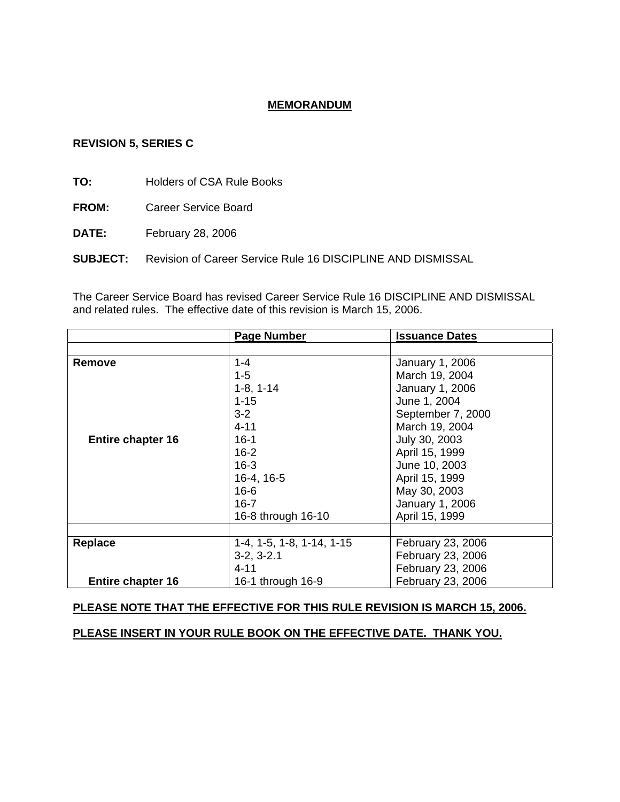## **MEMORANDUM**

### **REVISION 5, SERIES C**

**TO:** Holders of CSA Rule Books

**FROM:** Career Service Board

**DATE:** February 28, 2006

**SUBJECT:** Revision of Career Service Rule 16 DISCIPLINE AND DISMISSAL

The Career Service Board has revised Career Service Rule 16 DISCIPLINE AND DISMISSAL and related rules. The effective date of this revision is March 15, 2006.

|                          | <b>Page Number</b>          | <b>Issuance Dates</b> |
|--------------------------|-----------------------------|-----------------------|
|                          |                             |                       |
| Remove                   | $1 - 4$                     | January 1, 2006       |
|                          | $1 - 5$                     | March 19, 2004        |
|                          | $1-8, 1-14$                 | January 1, 2006       |
|                          | $1 - 15$                    | June 1, 2004          |
|                          | $3 - 2$                     | September 7, 2000     |
|                          | $4 - 11$                    | March 19, 2004        |
| <b>Entire chapter 16</b> | $16 - 1$                    | July 30, 2003         |
|                          | $16 - 2$                    | April 15, 1999        |
|                          | $16 - 3$                    | June 10, 2003         |
|                          | $16-4, 16-5$                | April 15, 1999        |
|                          | $16 - 6$                    | May 30, 2003          |
|                          | $16 - 7$                    | January 1, 2006       |
|                          | 16-8 through 16-10          | April 15, 1999        |
|                          |                             |                       |
| Replace                  | $1-4, 1-5, 1-8, 1-14, 1-15$ | February 23, 2006     |
|                          | $3-2, 3-2.1$                | February 23, 2006     |
|                          | $4 - 11$                    | February 23, 2006     |
| <b>Entire chapter 16</b> | 16-1 through 16-9           | February 23, 2006     |

## **PLEASE NOTE THAT THE EFFECTIVE FOR THIS RULE REVISION IS MARCH 15, 2006.**

**PLEASE INSERT IN YOUR RULE BOOK ON THE EFFECTIVE DATE. THANK YOU.**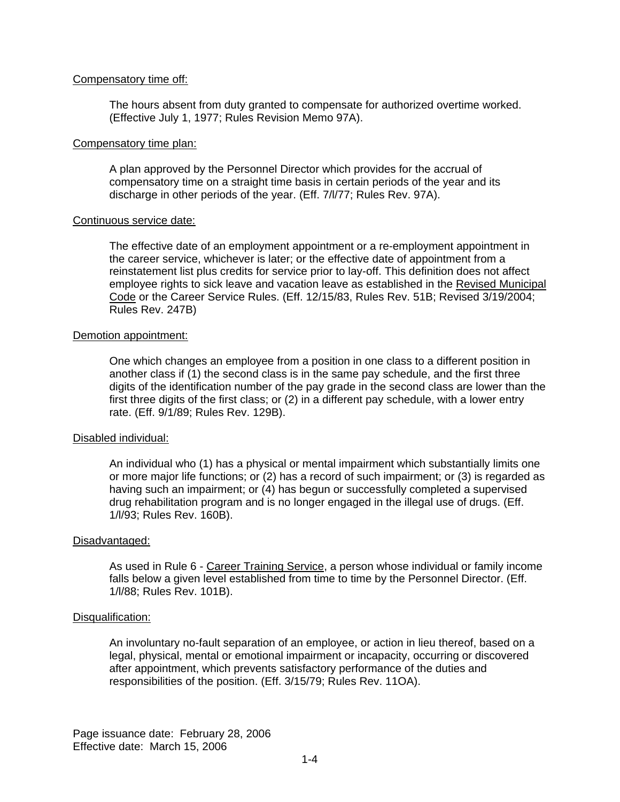#### Compensatory time off:

The hours absent from duty granted to compensate for authorized overtime worked. (Effective July 1, 1977; Rules Revision Memo 97A).

#### Compensatory time plan:

A plan approved by the Personnel Director which provides for the accrual of compensatory time on a straight time basis in certain periods of the year and its discharge in other periods of the year. (Eff. 7/l/77; Rules Rev. 97A).

#### Continuous service date:

The effective date of an employment appointment or a re-employment appointment in the career service, whichever is later; or the effective date of appointment from a reinstatement list plus credits for service prior to lay-off. This definition does not affect employee rights to sick leave and vacation leave as established in the Revised Municipal Code or the Career Service Rules. (Eff. 12/15/83, Rules Rev. 51B; Revised 3/19/2004; Rules Rev. 247B)

#### Demotion appointment:

One which changes an employee from a position in one class to a different position in another class if (1) the second class is in the same pay schedule, and the first three digits of the identification number of the pay grade in the second class are lower than the first three digits of the first class; or (2) in a different pay schedule, with a lower entry rate. (Eff. 9/1/89; Rules Rev. 129B).

#### Disabled individual:

An individual who (1) has a physical or mental impairment which substantially limits one or more major life functions; or (2) has a record of such impairment; or (3) is regarded as having such an impairment; or (4) has begun or successfully completed a supervised drug rehabilitation program and is no longer engaged in the illegal use of drugs. (Eff. 1/l/93; Rules Rev. 160B).

#### Disadvantaged:

As used in Rule 6 - Career Training Service, a person whose individual or family income falls below a given level established from time to time by the Personnel Director. (Eff. 1/l/88; Rules Rev. 101B).

### Disqualification:

An involuntary no-fault separation of an employee, or action in lieu thereof, based on a legal, physical, mental or emotional impairment or incapacity, occurring or discovered after appointment, which prevents satisfactory performance of the duties and responsibilities of the position. (Eff. 3/15/79; Rules Rev. 11OA).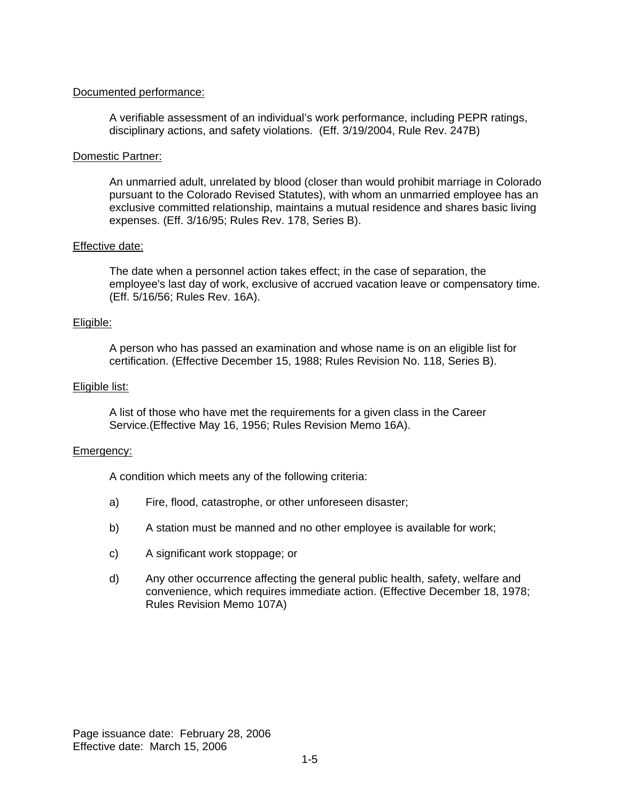### Documented performance:

A verifiable assessment of an individual's work performance, including PEPR ratings, disciplinary actions, and safety violations. (Eff. 3/19/2004, Rule Rev. 247B)

### Domestic Partner:

An unmarried adult, unrelated by blood (closer than would prohibit marriage in Colorado pursuant to the Colorado Revised Statutes), with whom an unmarried employee has an exclusive committed relationship, maintains a mutual residence and shares basic living expenses. (Eff. 3/16/95; Rules Rev. 178, Series B).

## Effective date:

The date when a personnel action takes effect; in the case of separation, the employee's last day of work, exclusive of accrued vacation leave or compensatory time. (Eff. 5/16/56; Rules Rev. 16A).

## Eligible:

A person who has passed an examination and whose name is on an eligible list for certification. (Effective December 15, 1988; Rules Revision No. 118, Series B).

#### Eligible list:

A list of those who have met the requirements for a given class in the Career Service.(Effective May 16, 1956; Rules Revision Memo 16A).

## Emergency:

A condition which meets any of the following criteria:

- a) Fire, flood, catastrophe, or other unforeseen disaster;
- b) A station must be manned and no other employee is available for work;
- c) A significant work stoppage; or
- d) Any other occurrence affecting the general public health, safety, welfare and convenience, which requires immediate action. (Effective December 18, 1978; Rules Revision Memo 107A)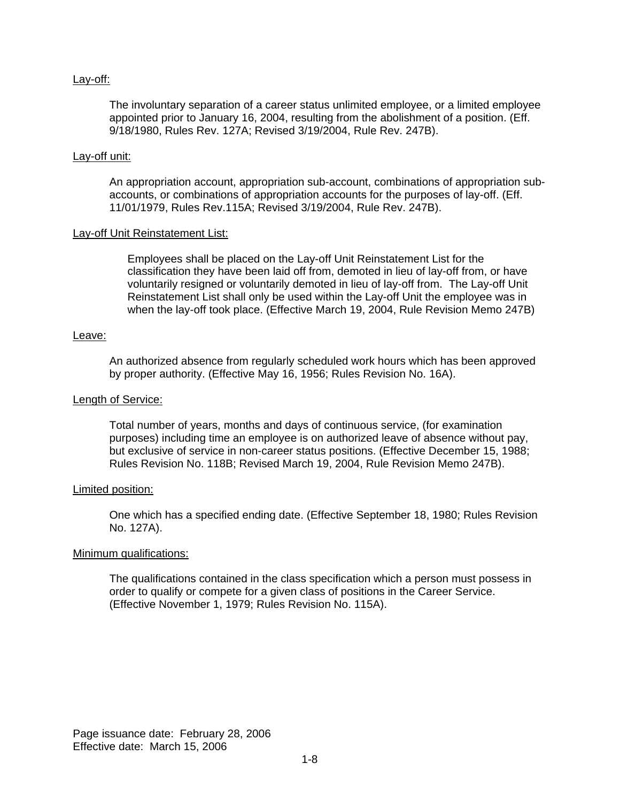#### Lay-off:

The involuntary separation of a career status unlimited employee, or a limited employee appointed prior to January 16, 2004, resulting from the abolishment of a position. (Eff. 9/18/1980, Rules Rev. 127A; Revised 3/19/2004, Rule Rev. 247B).

#### Lay-off unit:

An appropriation account, appropriation sub-account, combinations of appropriation subaccounts, or combinations of appropriation accounts for the purposes of lay-off. (Eff. 11/01/1979, Rules Rev.115A; Revised 3/19/2004, Rule Rev. 247B).

#### Lay-off Unit Reinstatement List:

Employees shall be placed on the Lay-off Unit Reinstatement List for the classification they have been laid off from, demoted in lieu of lay-off from, or have voluntarily resigned or voluntarily demoted in lieu of lay-off from. The Lay-off Unit Reinstatement List shall only be used within the Lay-off Unit the employee was in when the lay-off took place. (Effective March 19, 2004, Rule Revision Memo 247B)

#### Leave:

An authorized absence from regularly scheduled work hours which has been approved by proper authority. (Effective May 16, 1956; Rules Revision No. 16A).

#### Length of Service:

Total number of years, months and days of continuous service, (for examination purposes) including time an employee is on authorized leave of absence without pay, but exclusive of service in non-career status positions. (Effective December 15, 1988; Rules Revision No. 118B; Revised March 19, 2004, Rule Revision Memo 247B).

#### Limited position:

One which has a specified ending date. (Effective September 18, 1980; Rules Revision No. 127A).

#### Minimum qualifications:

The qualifications contained in the class specification which a person must possess in order to qualify or compete for a given class of positions in the Career Service. (Effective November 1, 1979; Rules Revision No. 115A).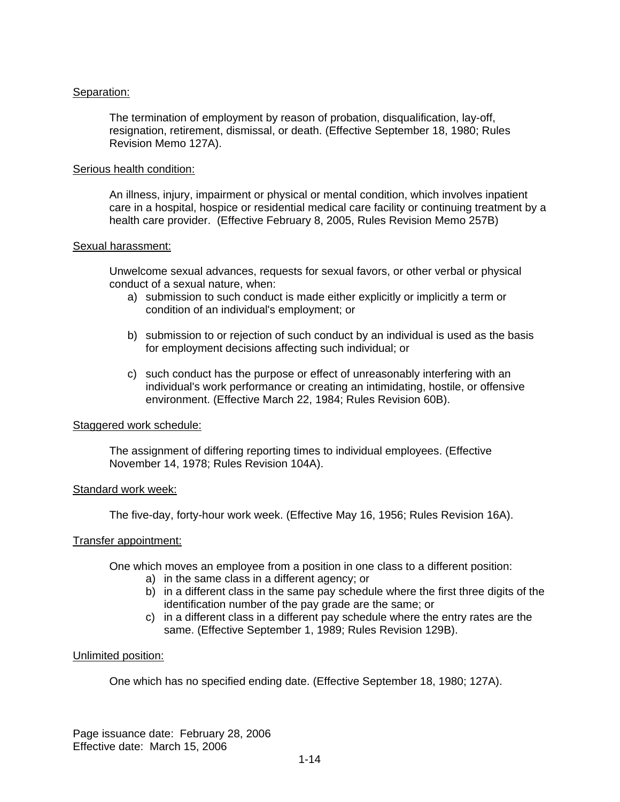## Separation:

The termination of employment by reason of probation, disqualification, lay-off, resignation, retirement, dismissal, or death. (Effective September 18, 1980; Rules Revision Memo 127A).

#### Serious health condition:

An illness, injury, impairment or physical or mental condition, which involves inpatient care in a hospital, hospice or residential medical care facility or continuing treatment by a health care provider. (Effective February 8, 2005, Rules Revision Memo 257B)

#### Sexual harassment:

Unwelcome sexual advances, requests for sexual favors, or other verbal or physical conduct of a sexual nature, when:

- a) submission to such conduct is made either explicitly or implicitly a term or condition of an individual's employment; or
- b) submission to or rejection of such conduct by an individual is used as the basis for employment decisions affecting such individual; or
- c) such conduct has the purpose or effect of unreasonably interfering with an individual's work performance or creating an intimidating, hostile, or offensive environment. (Effective March 22, 1984; Rules Revision 60B).

#### Staggered work schedule:

The assignment of differing reporting times to individual employees. (Effective November 14, 1978; Rules Revision 104A).

#### Standard work week:

The five-day, forty-hour work week. (Effective May 16, 1956; Rules Revision 16A).

#### Transfer appointment:

One which moves an employee from a position in one class to a different position:

- a) in the same class in a different agency; or
- b) in a different class in the same pay schedule where the first three digits of the identification number of the pay grade are the same; or
- c) in a different class in a different pay schedule where the entry rates are the same. (Effective September 1, 1989; Rules Revision 129B).

#### Unlimited position:

One which has no specified ending date. (Effective September 18, 1980; 127A).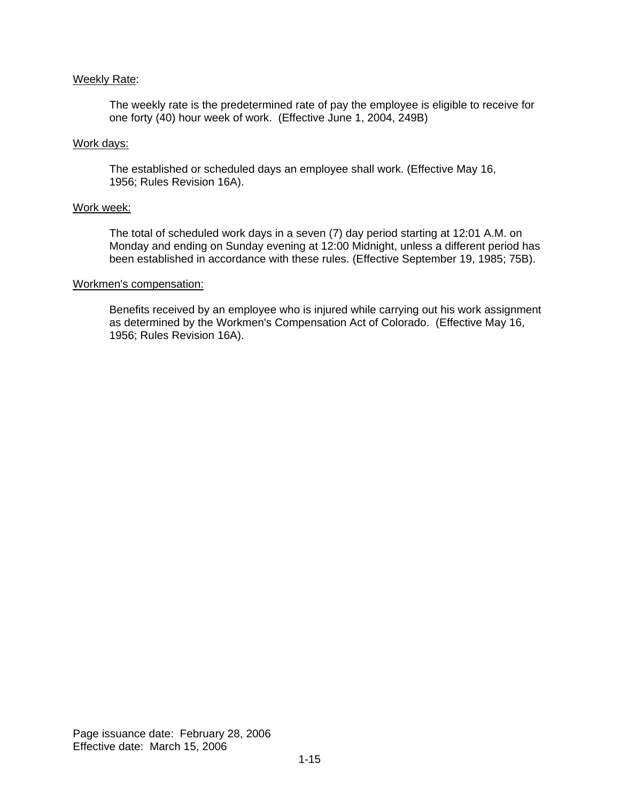#### Weekly Rate:

The weekly rate is the predetermined rate of pay the employee is eligible to receive for one forty (40) hour week of work. (Effective June 1, 2004, 249B)

#### Work days:

The established or scheduled days an employee shall work. (Effective May 16, 1956; Rules Revision 16A).

#### Work week:

The total of scheduled work days in a seven (7) day period starting at 12:01 A.M. on Monday and ending on Sunday evening at 12:00 Midnight, unless a different period has been established in accordance with these rules. (Effective September 19, 1985; 75B).

#### Workmen's compensation:

Benefits received by an employee who is injured while carrying out his work assignment as determined by the Workmen's Compensation Act of Colorado. (Effective May 16, 1956; Rules Revision 16A).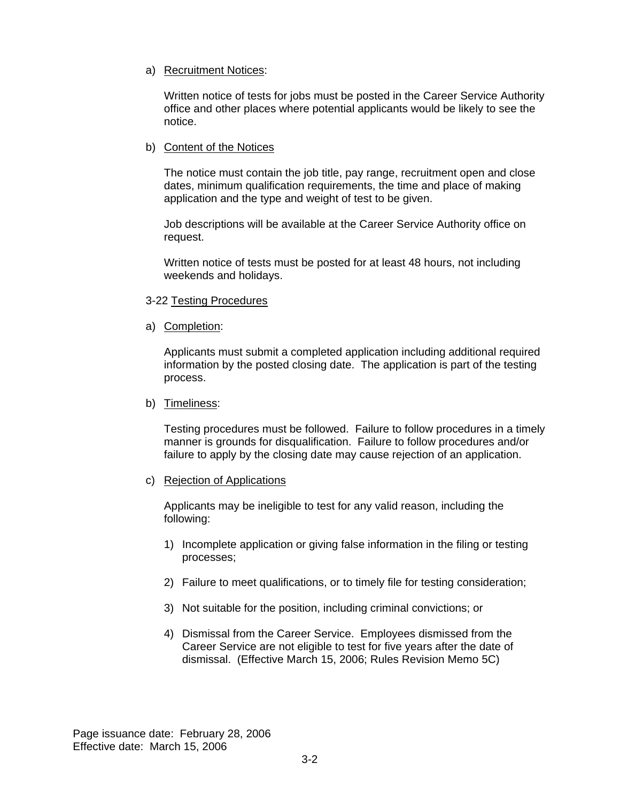## a) Recruitment Notices:

Written notice of tests for jobs must be posted in the Career Service Authority office and other places where potential applicants would be likely to see the notice.

### b) Content of the Notices

The notice must contain the job title, pay range, recruitment open and close dates, minimum qualification requirements, the time and place of making application and the type and weight of test to be given.

Job descriptions will be available at the Career Service Authority office on request.

Written notice of tests must be posted for at least 48 hours, not including weekends and holidays.

#### 3-22 Testing Procedures

a) Completion:

Applicants must submit a completed application including additional required information by the posted closing date. The application is part of the testing process.

#### b) Timeliness:

Testing procedures must be followed. Failure to follow procedures in a timely manner is grounds for disqualification. Failure to follow procedures and/or failure to apply by the closing date may cause rejection of an application.

#### c) Rejection of Applications

Applicants may be ineligible to test for any valid reason, including the following:

- 1) Incomplete application or giving false information in the filing or testing processes;
- 2) Failure to meet qualifications, or to timely file for testing consideration;
- 3) Not suitable for the position, including criminal convictions; or
- 4) Dismissal from the Career Service. Employees dismissed from the Career Service are not eligible to test for five years after the date of dismissal. (Effective March 15, 2006; Rules Revision Memo 5C)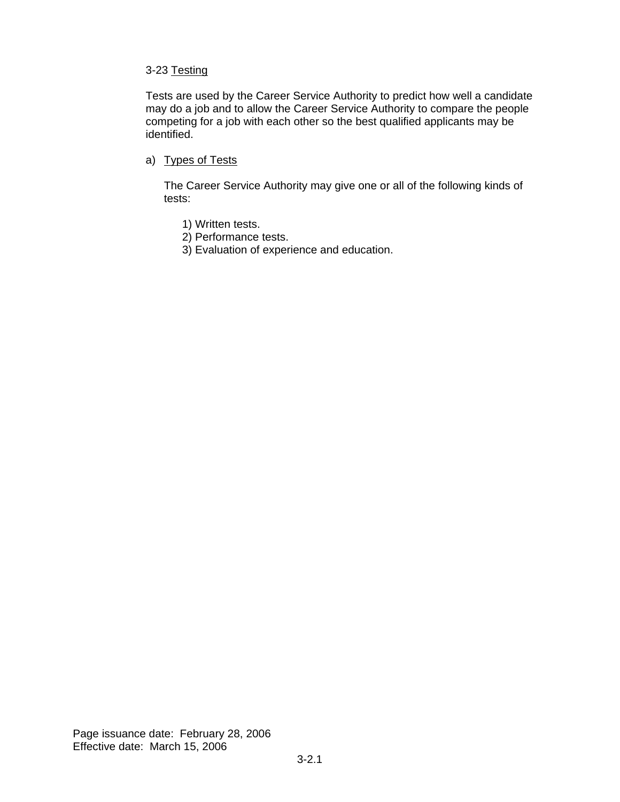## 3-23 Testing

Tests are used by the Career Service Authority to predict how well a candidate may do a job and to allow the Career Service Authority to compare the people competing for a job with each other so the best qualified applicants may be identified.

a) Types of Tests

The Career Service Authority may give one or all of the following kinds of tests:

- 1) Written tests.
- 2) Performance tests.
- 3) Evaluation of experience and education.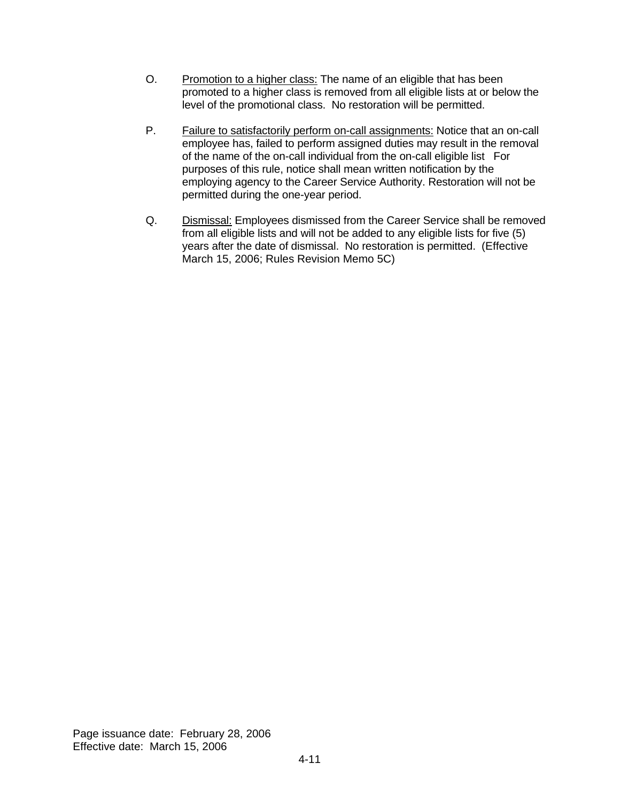- O. Promotion to a higher class: The name of an eligible that has been promoted to a higher class is removed from all eligible lists at or below the level of the promotional class. No restoration will be permitted.
- P. Failure to satisfactorily perform on-call assignments: Notice that an on-call employee has, failed to perform assigned duties may result in the removal of the name of the on-call individual from the on-call eligible list For purposes of this rule, notice shall mean written notification by the employing agency to the Career Service Authority. Restoration will not be permitted during the one-year period.
- Q. Dismissal: Employees dismissed from the Career Service shall be removed from all eligible lists and will not be added to any eligible lists for five (5) years after the date of dismissal. No restoration is permitted. (Effective March 15, 2006; Rules Revision Memo 5C)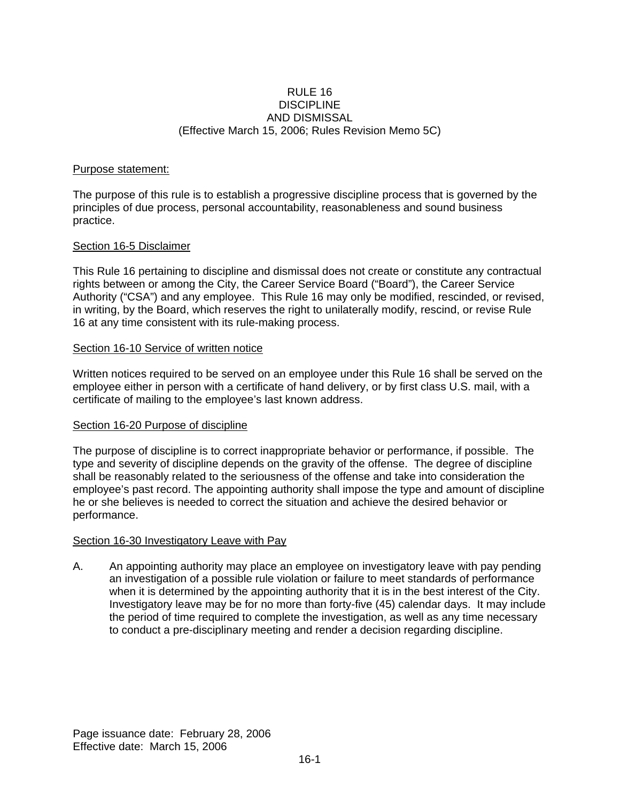### $R$ ULE 16 DISCIPLINE AND DISMISSAL (Effective March 15, 2006; Rules Revision Memo 5C)

## Purpose statement:

The purpose of this rule is to establish a progressive discipline process that is governed by the principles of due process, personal accountability, reasonableness and sound business practice.

## Section 16-5 Disclaimer

This Rule 16 pertaining to discipline and dismissal does not create or constitute any contractual rights between or among the City, the Career Service Board ("Board"), the Career Service Authority ("CSA") and any employee. This Rule 16 may only be modified, rescinded, or revised, in writing, by the Board, which reserves the right to unilaterally modify, rescind, or revise Rule 16 at any time consistent with its rule-making process.

## Section 16-10 Service of written notice

Written notices required to be served on an employee under this Rule 16 shall be served on the employee either in person with a certificate of hand delivery, or by first class U.S. mail, with a certificate of mailing to the employee's last known address.

#### Section 16-20 Purpose of discipline

The purpose of discipline is to correct inappropriate behavior or performance, if possible. The type and severity of discipline depends on the gravity of the offense. The degree of discipline shall be reasonably related to the seriousness of the offense and take into consideration the employee's past record. The appointing authority shall impose the type and amount of discipline he or she believes is needed to correct the situation and achieve the desired behavior or performance.

#### Section 16-30 Investigatory Leave with Pay

A. An appointing authority may place an employee on investigatory leave with pay pending an investigation of a possible rule violation or failure to meet standards of performance when it is determined by the appointing authority that it is in the best interest of the City. Investigatory leave may be for no more than forty-five (45) calendar days. It may include the period of time required to complete the investigation, as well as any time necessary to conduct a pre-disciplinary meeting and render a decision regarding discipline.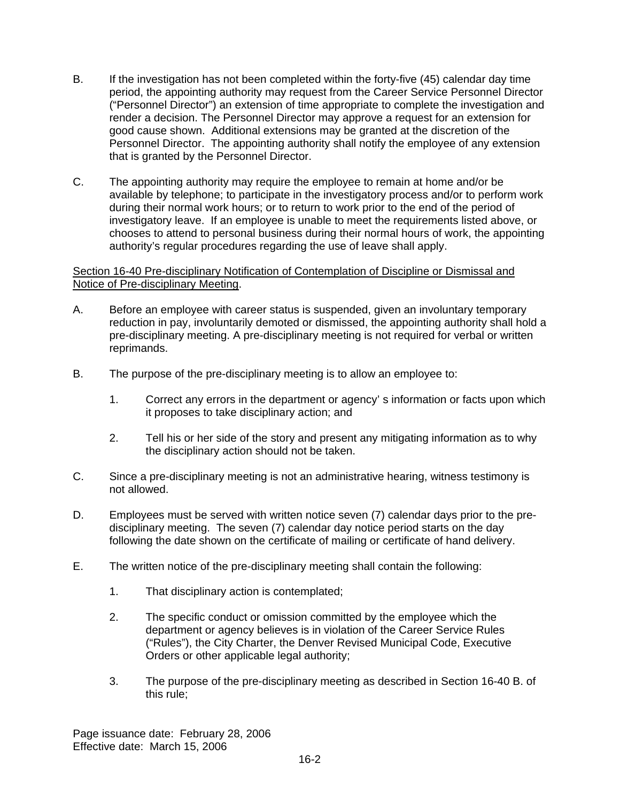- B. If the investigation has not been completed within the forty-five (45) calendar day time period, the appointing authority may request from the Career Service Personnel Director ("Personnel Director") an extension of time appropriate to complete the investigation and render a decision. The Personnel Director may approve a request for an extension for good cause shown. Additional extensions may be granted at the discretion of the Personnel Director. The appointing authority shall notify the employee of any extension that is granted by the Personnel Director.
- C. The appointing authority may require the employee to remain at home and/or be available by telephone; to participate in the investigatory process and/or to perform work during their normal work hours; or to return to work prior to the end of the period of investigatory leave. If an employee is unable to meet the requirements listed above, or chooses to attend to personal business during their normal hours of work, the appointing authority's regular procedures regarding the use of leave shall apply.

## Section 16-40 Pre-disciplinary Notification of Contemplation of Discipline or Dismissal and Notice of Pre-disciplinary Meeting.

- A. Before an employee with career status is suspended, given an involuntary temporary reduction in pay, involuntarily demoted or dismissed, the appointing authority shall hold a pre-disciplinary meeting. A pre-disciplinary meeting is not required for verbal or written reprimands.
- B. The purpose of the pre-disciplinary meeting is to allow an employee to:
	- 1. Correct any errors in the department or agency' s information or facts upon which it proposes to take disciplinary action; and
	- 2. Tell his or her side of the story and present any mitigating information as to why the disciplinary action should not be taken.
- C. Since a pre-disciplinary meeting is not an administrative hearing, witness testimony is not allowed.
- D. Employees must be served with written notice seven (7) calendar days prior to the predisciplinary meeting. The seven (7) calendar day notice period starts on the day following the date shown on the certificate of mailing or certificate of hand delivery.
- E. The written notice of the pre-disciplinary meeting shall contain the following:
	- 1. That disciplinary action is contemplated;
	- 2. The specific conduct or omission committed by the employee which the department or agency believes is in violation of the Career Service Rules ("Rules"), the City Charter, the Denver Revised Municipal Code, Executive Orders or other applicable legal authority;
	- 3. The purpose of the pre-disciplinary meeting as described in Section 16-40 B. of this rule;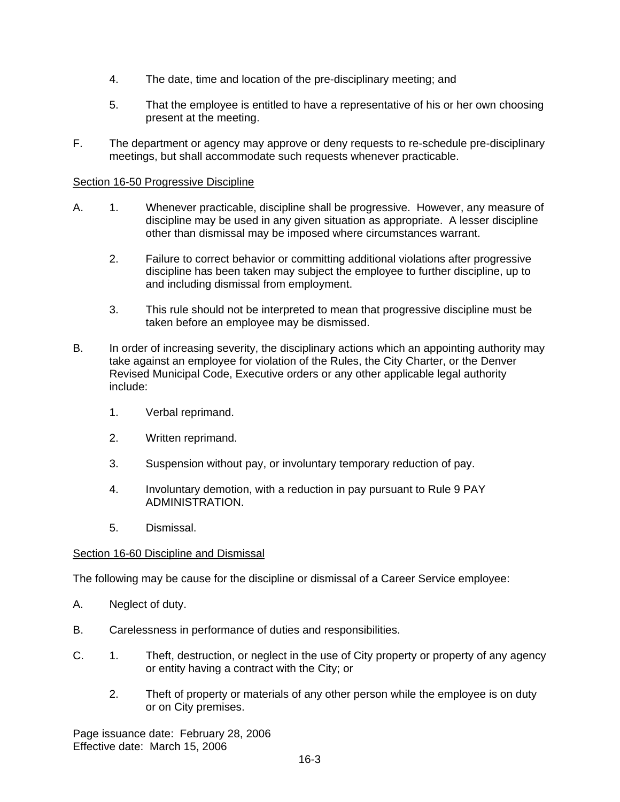- 4. The date, time and location of the pre-disciplinary meeting; and
- 5. That the employee is entitled to have a representative of his or her own choosing present at the meeting.
- F. The department or agency may approve or deny requests to re-schedule pre-disciplinary meetings, but shall accommodate such requests whenever practicable.

## Section 16-50 Progressive Discipline

- A. 1. Whenever practicable, discipline shall be progressive. However, any measure of discipline may be used in any given situation as appropriate. A lesser discipline other than dismissal may be imposed where circumstances warrant.
	- 2. Failure to correct behavior or committing additional violations after progressive discipline has been taken may subject the employee to further discipline, up to and including dismissal from employment.
	- 3. This rule should not be interpreted to mean that progressive discipline must be taken before an employee may be dismissed.
- B. In order of increasing severity, the disciplinary actions which an appointing authority may take against an employee for violation of the Rules, the City Charter, or the Denver Revised Municipal Code, Executive orders or any other applicable legal authority include:
	- 1. Verbal reprimand.
	- 2. Written reprimand.
	- 3. Suspension without pay, or involuntary temporary reduction of pay.
	- 4. Involuntary demotion, with a reduction in pay pursuant to Rule 9 PAY ADMINISTRATION.
	- 5. Dismissal.

#### Section 16-60 Discipline and Dismissal

The following may be cause for the discipline or dismissal of a Career Service employee:

- A. Neglect of duty.
- B. Carelessness in performance of duties and responsibilities.
- C. 1. Theft, destruction, or neglect in the use of City property or property of any agency or entity having a contract with the City; or
	- 2. Theft of property or materials of any other person while the employee is on duty or on City premises.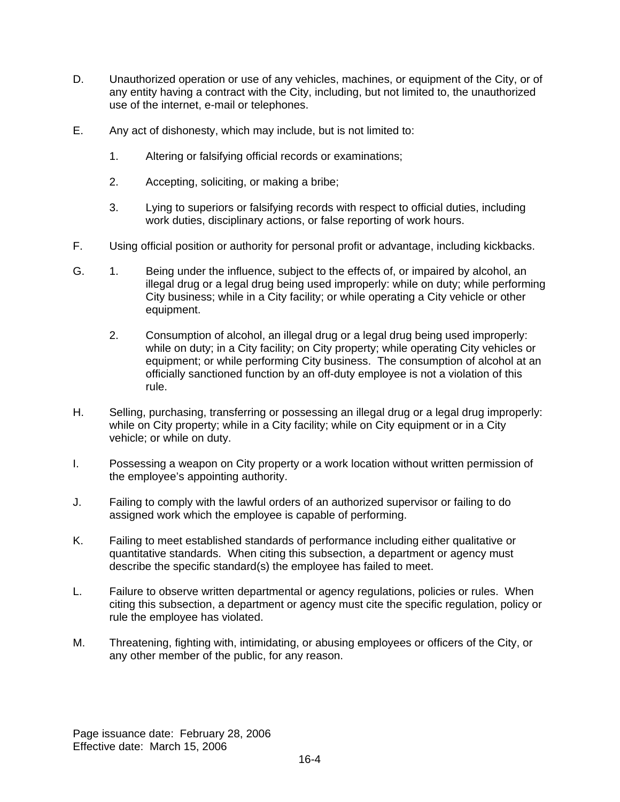- D. Unauthorized operation or use of any vehicles, machines, or equipment of the City, or of any entity having a contract with the City, including, but not limited to, the unauthorized use of the internet, e-mail or telephones.
- E. Any act of dishonesty, which may include, but is not limited to:
	- 1. Altering or falsifying official records or examinations;
	- 2. Accepting, soliciting, or making a bribe;
	- 3. Lying to superiors or falsifying records with respect to official duties, including work duties, disciplinary actions, or false reporting of work hours.
- F. Using official position or authority for personal profit or advantage, including kickbacks.
- G. 1. Being under the influence, subject to the effects of, or impaired by alcohol, an illegal drug or a legal drug being used improperly: while on duty; while performing City business; while in a City facility; or while operating a City vehicle or other equipment.
	- 2. Consumption of alcohol, an illegal drug or a legal drug being used improperly: while on duty; in a City facility; on City property; while operating City vehicles or equipment; or while performing City business. The consumption of alcohol at an officially sanctioned function by an off-duty employee is not a violation of this rule.
- H. Selling, purchasing, transferring or possessing an illegal drug or a legal drug improperly: while on City property; while in a City facility; while on City equipment or in a City vehicle; or while on duty.
- I. Possessing a weapon on City property or a work location without written permission of the employee's appointing authority.
- J. Failing to comply with the lawful orders of an authorized supervisor or failing to do assigned work which the employee is capable of performing.
- K. Failing to meet established standards of performance including either qualitative or quantitative standards. When citing this subsection, a department or agency must describe the specific standard(s) the employee has failed to meet.
- L. Failure to observe written departmental or agency regulations, policies or rules. When citing this subsection, a department or agency must cite the specific regulation, policy or rule the employee has violated.
- M. Threatening, fighting with, intimidating, or abusing employees or officers of the City, or any other member of the public, for any reason.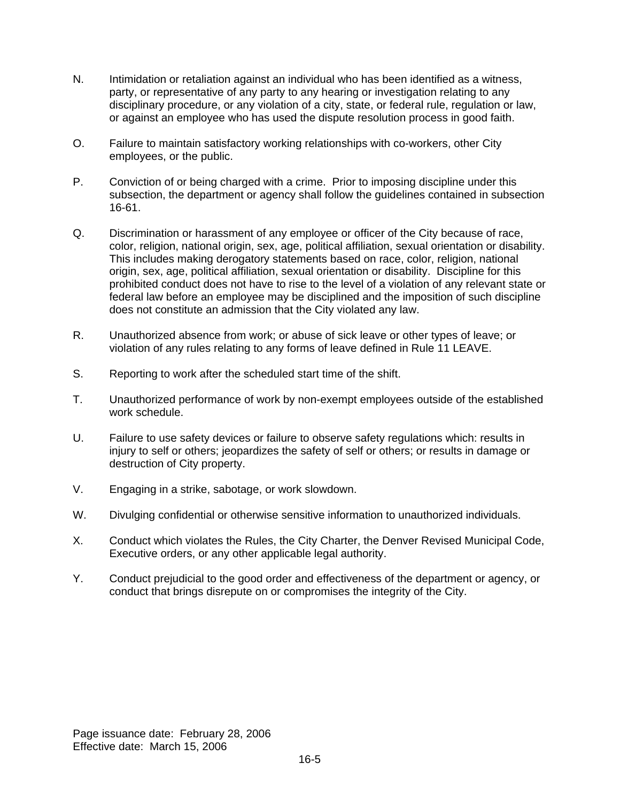- N. Intimidation or retaliation against an individual who has been identified as a witness, party, or representative of any party to any hearing or investigation relating to any disciplinary procedure, or any violation of a city, state, or federal rule, regulation or law, or against an employee who has used the dispute resolution process in good faith.
- O. Failure to maintain satisfactory working relationships with co-workers, other City employees, or the public.
- P. Conviction of or being charged with a crime. Prior to imposing discipline under this subsection, the department or agency shall follow the guidelines contained in subsection 16-61.
- Q. Discrimination or harassment of any employee or officer of the City because of race, color, religion, national origin, sex, age, political affiliation, sexual orientation or disability. This includes making derogatory statements based on race, color, religion, national origin, sex, age, political affiliation, sexual orientation or disability. Discipline for this prohibited conduct does not have to rise to the level of a violation of any relevant state or federal law before an employee may be disciplined and the imposition of such discipline does not constitute an admission that the City violated any law.
- R. Unauthorized absence from work; or abuse of sick leave or other types of leave; or violation of any rules relating to any forms of leave defined in Rule 11 LEAVE.
- S. Reporting to work after the scheduled start time of the shift.
- T. Unauthorized performance of work by non-exempt employees outside of the established work schedule.
- U. Failure to use safety devices or failure to observe safety regulations which: results in injury to self or others; jeopardizes the safety of self or others; or results in damage or destruction of City property.
- V. Engaging in a strike, sabotage, or work slowdown.
- W. Divulging confidential or otherwise sensitive information to unauthorized individuals.
- X. Conduct which violates the Rules, the City Charter, the Denver Revised Municipal Code, Executive orders, or any other applicable legal authority.
- Y. Conduct prejudicial to the good order and effectiveness of the department or agency, or conduct that brings disrepute on or compromises the integrity of the City.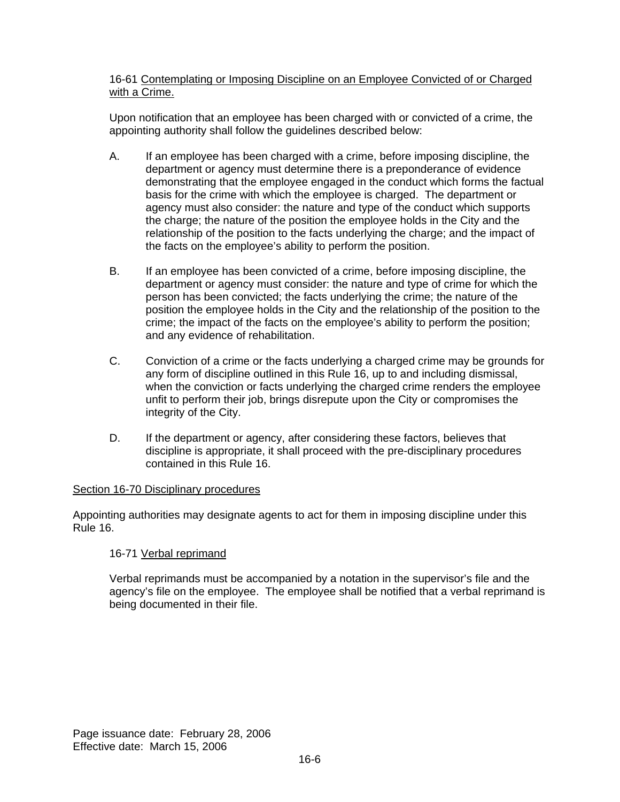## 16-61 Contemplating or Imposing Discipline on an Employee Convicted of or Charged with a Crime.

Upon notification that an employee has been charged with or convicted of a crime, the appointing authority shall follow the guidelines described below:

- A. If an employee has been charged with a crime, before imposing discipline, the department or agency must determine there is a preponderance of evidence demonstrating that the employee engaged in the conduct which forms the factual basis for the crime with which the employee is charged. The department or agency must also consider: the nature and type of the conduct which supports the charge; the nature of the position the employee holds in the City and the relationship of the position to the facts underlying the charge; and the impact of the facts on the employee's ability to perform the position.
- B. If an employee has been convicted of a crime, before imposing discipline, the department or agency must consider: the nature and type of crime for which the person has been convicted; the facts underlying the crime; the nature of the position the employee holds in the City and the relationship of the position to the crime; the impact of the facts on the employee's ability to perform the position; and any evidence of rehabilitation.
- C. Conviction of a crime or the facts underlying a charged crime may be grounds for any form of discipline outlined in this Rule 16, up to and including dismissal, when the conviction or facts underlying the charged crime renders the employee unfit to perform their job, brings disrepute upon the City or compromises the integrity of the City.
- D. If the department or agency, after considering these factors, believes that discipline is appropriate, it shall proceed with the pre-disciplinary procedures contained in this Rule 16.

## Section 16-70 Disciplinary procedures

Appointing authorities may designate agents to act for them in imposing discipline under this Rule 16.

# 16-71 Verbal reprimand

Verbal reprimands must be accompanied by a notation in the supervisor's file and the agency's file on the employee. The employee shall be notified that a verbal reprimand is being documented in their file.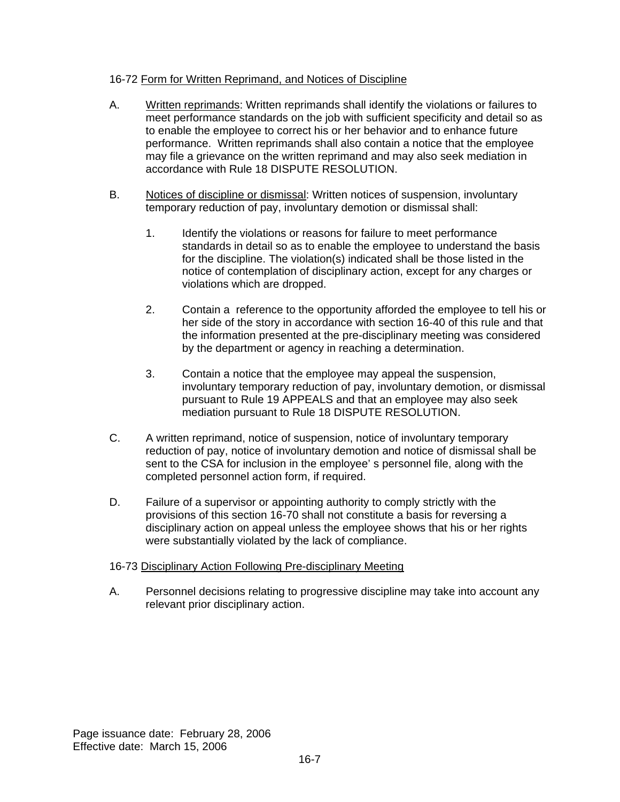## 16-72 Form for Written Reprimand, and Notices of Discipline

- A. Written reprimands: Written reprimands shall identify the violations or failures to meet performance standards on the job with sufficient specificity and detail so as to enable the employee to correct his or her behavior and to enhance future performance. Written reprimands shall also contain a notice that the employee may file a grievance on the written reprimand and may also seek mediation in accordance with Rule 18 DISPUTE RESOLUTION.
- B. Notices of discipline or dismissal: Written notices of suspension, involuntary temporary reduction of pay, involuntary demotion or dismissal shall:
	- 1. Identify the violations or reasons for failure to meet performance standards in detail so as to enable the employee to understand the basis for the discipline. The violation(s) indicated shall be those listed in the notice of contemplation of disciplinary action, except for any charges or violations which are dropped.
	- 2. Contain a reference to the opportunity afforded the employee to tell his or her side of the story in accordance with section 16-40 of this rule and that the information presented at the pre-disciplinary meeting was considered by the department or agency in reaching a determination.
	- 3. Contain a notice that the employee may appeal the suspension, involuntary temporary reduction of pay, involuntary demotion, or dismissal pursuant to Rule 19 APPEALS and that an employee may also seek mediation pursuant to Rule 18 DISPUTE RESOLUTION.
- C. A written reprimand, notice of suspension, notice of involuntary temporary reduction of pay, notice of involuntary demotion and notice of dismissal shall be sent to the CSA for inclusion in the employee' s personnel file, along with the completed personnel action form, if required.
- D. Failure of a supervisor or appointing authority to comply strictly with the provisions of this section 16-70 shall not constitute a basis for reversing a disciplinary action on appeal unless the employee shows that his or her rights were substantially violated by the lack of compliance.

# 16-73 Disciplinary Action Following Pre-disciplinary Meeting

A. Personnel decisions relating to progressive discipline may take into account any relevant prior disciplinary action.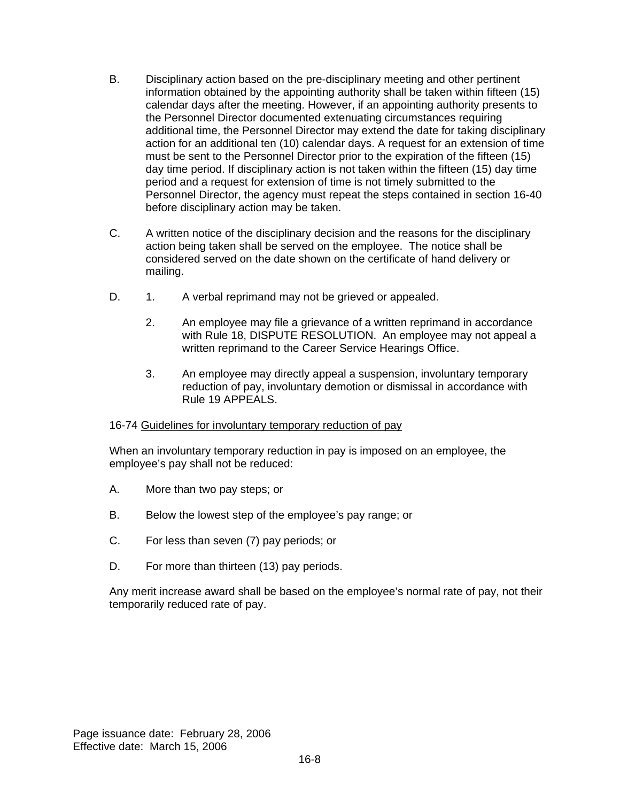- B. Disciplinary action based on the pre-disciplinary meeting and other pertinent information obtained by the appointing authority shall be taken within fifteen (15) calendar days after the meeting. However, if an appointing authority presents to the Personnel Director documented extenuating circumstances requiring additional time, the Personnel Director may extend the date for taking disciplinary action for an additional ten (10) calendar days. A request for an extension of time must be sent to the Personnel Director prior to the expiration of the fifteen (15) day time period. If disciplinary action is not taken within the fifteen (15) day time period and a request for extension of time is not timely submitted to the Personnel Director, the agency must repeat the steps contained in section 16-40 before disciplinary action may be taken.
- C. A written notice of the disciplinary decision and the reasons for the disciplinary action being taken shall be served on the employee. The notice shall be considered served on the date shown on the certificate of hand delivery or mailing.
- D. 1. A verbal reprimand may not be grieved or appealed.
	- 2. An employee may file a grievance of a written reprimand in accordance with Rule 18, DISPUTE RESOLUTION. An employee may not appeal a written reprimand to the Career Service Hearings Office.
	- 3. An employee may directly appeal a suspension, involuntary temporary reduction of pay, involuntary demotion or dismissal in accordance with Rule 19 APPEALS.

## 16-74 Guidelines for involuntary temporary reduction of pay

When an involuntary temporary reduction in pay is imposed on an employee, the employee's pay shall not be reduced:

- A. More than two pay steps; or
- B. Below the lowest step of the employee's pay range; or
- C. For less than seven (7) pay periods; or
- D. For more than thirteen (13) pay periods.

Any merit increase award shall be based on the employee's normal rate of pay, not their temporarily reduced rate of pay.